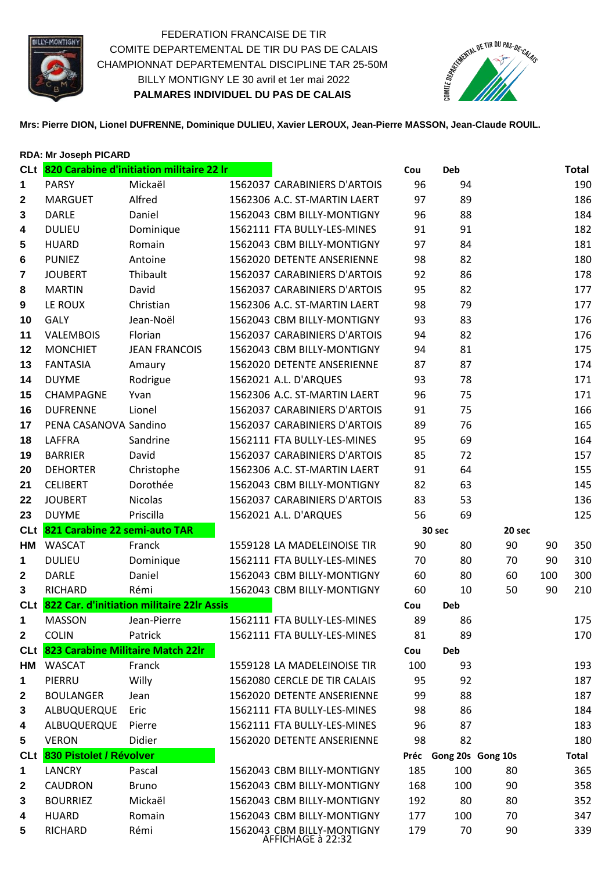

FEDERATION FRANCAISE DE TIR COMITE DEPARTEMENTAL DE TIR DU PAS DE CALAIS CHAMPIONNAT DEPARTEMENTAL DISCIPLINE TAR 25-50M BILLY MONTIGNY LE 30 avril et 1er mai 2022 **PALMARES INDIVIDUEL DU PAS DE CALAIS** 



**Mrs: Pierre DION, Lionel DUFRENNE, Dominique DULIEU, Xavier LEROUX, Jean-Pierre MASSON, Jean-Claude ROUIL.**

|                  | <b>RDA: Mr Joseph PICARD</b>      |                                               |                                                 |     |                        |        |     |              |
|------------------|-----------------------------------|-----------------------------------------------|-------------------------------------------------|-----|------------------------|--------|-----|--------------|
|                  |                                   | CLt 820 Carabine d'initiation militaire 22 Ir |                                                 | Cou | <b>Deb</b>             |        |     | <b>Total</b> |
| 1                | <b>PARSY</b>                      | Mickaël                                       | 1562037 CARABINIERS D'ARTOIS                    | 96  | 94                     |        |     | 190          |
| $\mathbf{2}$     | <b>MARGUET</b>                    | Alfred                                        | 1562306 A.C. ST-MARTIN LAERT                    | 97  | 89                     |        |     | 186          |
| 3                | <b>DARLE</b>                      | Daniel                                        | 1562043 CBM BILLY-MONTIGNY                      | 96  | 88                     |        |     | 184          |
| 4                | <b>DULIEU</b>                     | Dominique                                     | 1562111 FTA BULLY-LES-MINES                     | 91  | 91                     |        |     | 182          |
| 5                | <b>HUARD</b>                      | Romain                                        | 1562043 CBM BILLY-MONTIGNY                      | 97  | 84                     |        |     | 181          |
| 6                | <b>PUNIEZ</b>                     | Antoine                                       | 1562020 DETENTE ANSERIENNE                      | 98  | 82                     |        |     | 180          |
| 7                | <b>JOUBERT</b>                    | Thibault                                      | 1562037 CARABINIERS D'ARTOIS                    | 92  | 86                     |        |     | 178          |
| 8                | <b>MARTIN</b>                     | David                                         | 1562037 CARABINIERS D'ARTOIS                    | 95  | 82                     |        |     | 177          |
| $\boldsymbol{9}$ | LE ROUX                           | Christian                                     | 1562306 A.C. ST-MARTIN LAERT                    | 98  | 79                     |        |     | 177          |
| 10               | <b>GALY</b>                       | Jean-Noël                                     | 1562043 CBM BILLY-MONTIGNY                      | 93  | 83                     |        |     | 176          |
| 11               | <b>VALEMBOIS</b>                  | Florian                                       | 1562037 CARABINIERS D'ARTOIS                    | 94  | 82                     |        |     | 176          |
| 12               | <b>MONCHIET</b>                   | <b>JEAN FRANCOIS</b>                          | 1562043 CBM BILLY-MONTIGNY                      | 94  | 81                     |        |     | 175          |
| 13               | <b>FANTASIA</b>                   | Amaury                                        | 1562020 DETENTE ANSERIENNE                      | 87  | 87                     |        |     | 174          |
| 14               | <b>DUYME</b>                      | Rodrigue                                      | 1562021 A.L. D'ARQUES                           | 93  | 78                     |        |     | 171          |
| 15               | CHAMPAGNE                         | Yvan                                          | 1562306 A.C. ST-MARTIN LAERT                    | 96  | 75                     |        |     | 171          |
| 16               | <b>DUFRENNE</b>                   | Lionel                                        | 1562037 CARABINIERS D'ARTOIS                    | 91  | 75                     |        |     | 166          |
| 17               | PENA CASANOVA Sandino             |                                               | 1562037 CARABINIERS D'ARTOIS                    | 89  | 76                     |        |     | 165          |
| 18               | <b>LAFFRA</b>                     | Sandrine                                      | 1562111 FTA BULLY-LES-MINES                     | 95  | 69                     |        |     | 164          |
| 19               | <b>BARRIER</b>                    | David                                         | 1562037 CARABINIERS D'ARTOIS                    | 85  | 72                     |        |     | 157          |
| 20               | <b>DEHORTER</b>                   | Christophe                                    | 1562306 A.C. ST-MARTIN LAERT                    | 91  | 64                     |        |     | 155          |
| 21               | <b>CELIBERT</b>                   | Dorothée                                      | 1562043 CBM BILLY-MONTIGNY                      | 82  | 63                     |        |     | 145          |
| 22               | <b>JOUBERT</b>                    | <b>Nicolas</b>                                | 1562037 CARABINIERS D'ARTOIS                    | 83  | 53                     |        |     | 136          |
| 23               | <b>DUYME</b>                      | Priscilla                                     | 1562021 A.L. D'ARQUES                           | 56  | 69                     |        |     | 125          |
| <b>CLt</b>       | 821 Carabine 22 semi-auto TAR     |                                               |                                                 |     | 30 sec                 | 20 sec |     |              |
| HМ               | <b>WASCAT</b>                     | Franck                                        | 1559128 LA MADELEINOISE TIR                     | 90  | 80                     | 90     | 90  | 350          |
| 1                | <b>DULIEU</b>                     | Dominique                                     | 1562111 FTA BULLY-LES-MINES                     | 70  | 80                     | 70     | 90  | 310          |
| $\mathbf{2}$     | <b>DARLE</b>                      | Daniel                                        | 1562043 CBM BILLY-MONTIGNY                      | 60  | 80                     | 60     | 100 | 300          |
| 3                | <b>RICHARD</b>                    | Rémi                                          | 1562043 CBM BILLY-MONTIGNY                      | 60  | 10                     | 50     | 90  | 210          |
| <b>CLt</b>       |                                   | 822 Car. d'initiation militaire 22lr Assis    |                                                 | Cou | Deb                    |        |     |              |
| 1                | <b>MASSON</b>                     | Jean-Pierre                                   | 1562111 FTA BULLY-LES-MINES                     | 89  | 86                     |        |     | 175          |
| $\overline{2}$   | <b>COLIN</b>                      | Patrick                                       | 1562111 FTA BULLY-LES-MINES                     | 81  | 89                     |        |     | 170          |
| <b>CLt</b>       | 823 Carabine Militaire Match 22Ir |                                               |                                                 | Cou | Deb                    |        |     |              |
| HМ               | <b>WASCAT</b>                     | Franck                                        | 1559128 LA MADELEINOISE TIR                     | 100 | 93                     |        |     | 193          |
| 1                | PIERRU                            | Willy                                         | 1562080 CERCLE DE TIR CALAIS                    | 95  | 92                     |        |     | 187          |
| 2                | <b>BOULANGER</b>                  | Jean                                          | 1562020 DETENTE ANSERIENNE                      | 99  | 88                     |        |     | 187          |
| 3                | ALBUQUERQUE                       | Eric                                          | 1562111 FTA BULLY-LES-MINES                     | 98  | 86                     |        |     | 184          |
| 4                | ALBUQUERQUE                       | Pierre                                        | 1562111 FTA BULLY-LES-MINES                     | 96  | 87                     |        |     | 183          |
| 5                | <b>VERON</b>                      | Didier                                        | 1562020 DETENTE ANSERIENNE                      | 98  | 82                     |        |     | 180          |
| <b>CLt</b>       | 830 Pistolet / Révolver           |                                               |                                                 |     | Préc Gong 20s Gong 10s |        |     | <b>Total</b> |
| 1                | <b>LANCRY</b>                     | Pascal                                        | 1562043 CBM BILLY-MONTIGNY                      | 185 | 100                    | 80     |     | 365          |
| $\mathbf{2}$     | <b>CAUDRON</b>                    | <b>Bruno</b>                                  | 1562043 CBM BILLY-MONTIGNY                      | 168 | 100                    | 90     |     | 358          |
| 3                | <b>BOURRIEZ</b>                   | Mickaël                                       | 1562043 CBM BILLY-MONTIGNY                      | 192 | 80                     | 80     |     | 352          |
| 4                | <b>HUARD</b>                      | Romain                                        | 1562043 CBM BILLY-MONTIGNY                      | 177 | 100                    | 70     |     | 347          |
| 5                | <b>RICHARD</b>                    | Rémi                                          | 1562043 CBM BILLY-MONTIGNY<br>AFFICHAGE à 22:32 | 179 | 70                     | 90     |     | 339          |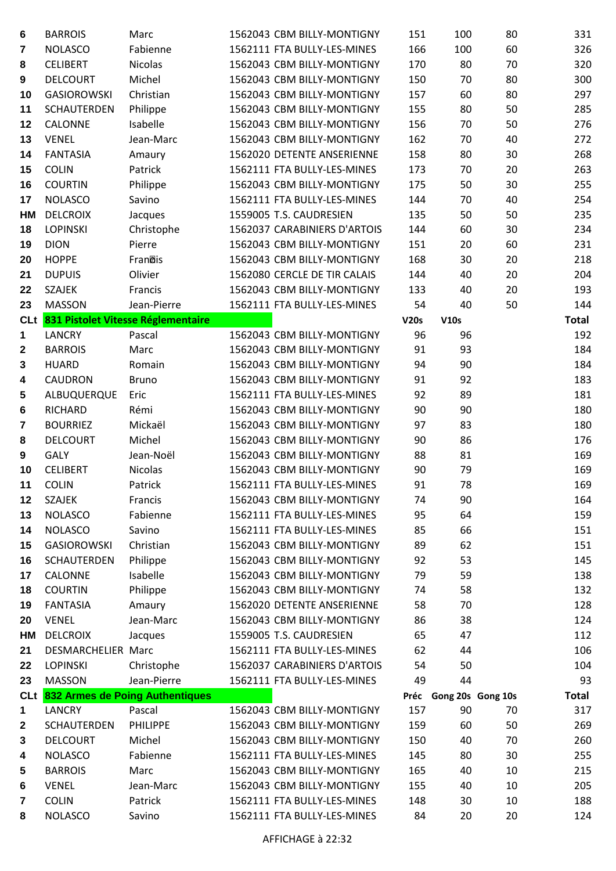| 6                       | <b>BARROIS</b>                  | Marc                                   | 1562043 CBM BILLY-MONTIGNY                               | 151      | 100                    | 80 | 331          |
|-------------------------|---------------------------------|----------------------------------------|----------------------------------------------------------|----------|------------------------|----|--------------|
| $\overline{\mathbf{r}}$ | <b>NOLASCO</b>                  | Fabienne                               | 1562111 FTA BULLY-LES-MINES                              | 166      | 100                    | 60 | 326          |
| 8                       | <b>CELIBERT</b>                 | <b>Nicolas</b>                         | 1562043 CBM BILLY-MONTIGNY                               | 170      | 80                     | 70 | 320          |
| 9                       | <b>DELCOURT</b>                 | Michel                                 | 1562043 CBM BILLY-MONTIGNY                               | 150      | 70                     | 80 | 300          |
| 10                      | <b>GASIOROWSKI</b>              | Christian                              | 1562043 CBM BILLY-MONTIGNY                               | 157      | 60                     | 80 | 297          |
| 11                      | <b>SCHAUTERDEN</b>              | Philippe                               | 1562043 CBM BILLY-MONTIGNY                               | 155      | 80                     | 50 | 285          |
| 12                      | CALONNE                         | Isabelle                               | 1562043 CBM BILLY-MONTIGNY                               | 156      | 70                     | 50 | 276          |
| 13                      | <b>VENEL</b>                    | Jean-Marc                              | 1562043 CBM BILLY-MONTIGNY                               | 162      | 70                     | 40 | 272          |
| 14                      | <b>FANTASIA</b>                 | Amaury                                 | 1562020 DETENTE ANSERIENNE                               | 158      | 80                     | 30 | 268          |
| 15                      | <b>COLIN</b>                    | Patrick                                | 1562111 FTA BULLY-LES-MINES                              | 173      | 70                     | 20 | 263          |
| 16                      | <b>COURTIN</b>                  | Philippe                               | 1562043 CBM BILLY-MONTIGNY                               | 175      | 50                     | 30 | 255          |
| 17                      | <b>NOLASCO</b>                  | Savino                                 | 1562111 FTA BULLY-LES-MINES                              | 144      | 70                     | 40 | 254          |
| HM                      | <b>DELCROIX</b>                 | Jacques                                | 1559005 T.S. CAUDRESIEN                                  | 135      | 50                     | 50 | 235          |
| 18                      | <b>LOPINSKI</b>                 | Christophe                             | 1562037 CARABINIERS D'ARTOIS                             | 144      | 60                     | 30 | 234          |
| 19                      | <b>DION</b>                     | Pierre                                 | 1562043 CBM BILLY-MONTIGNY                               | 151      | 20                     | 60 | 231          |
| 20                      | <b>HOPPE</b>                    | Franois                                | 1562043 CBM BILLY-MONTIGNY                               | 168      | 30                     | 20 | 218          |
| 21                      | <b>DUPUIS</b>                   | Olivier                                | 1562080 CERCLE DE TIR CALAIS                             | 144      | 40                     | 20 | 204          |
| 22                      | <b>SZAJEK</b>                   | Francis                                | 1562043 CBM BILLY-MONTIGNY                               | 133      | 40                     | 20 | 193          |
| 23                      | <b>MASSON</b>                   | Jean-Pierre                            | 1562111 FTA BULLY-LES-MINES                              | 54       | 40                     | 50 | 144          |
|                         |                                 | CLt 831 Pistolet Vitesse Réglementaire |                                                          | V20s     | V10s                   |    | <b>Total</b> |
| $\mathbf 1$             | <b>LANCRY</b>                   | Pascal                                 | 1562043 CBM BILLY-MONTIGNY                               | 96       | 96                     |    | 192          |
| $\boldsymbol{2}$        | <b>BARROIS</b>                  | Marc                                   | 1562043 CBM BILLY-MONTIGNY                               | 91       | 93                     |    | 184          |
| 3                       | <b>HUARD</b>                    | Romain                                 | 1562043 CBM BILLY-MONTIGNY                               | 94       | 90                     |    | 184          |
| 4                       | <b>CAUDRON</b>                  | <b>Bruno</b>                           | 1562043 CBM BILLY-MONTIGNY                               | 91       | 92                     |    | 183          |
| 5                       | ALBUQUERQUE                     | Eric                                   | 1562111 FTA BULLY-LES-MINES                              | 92       | 89                     |    | 181          |
| 6                       | <b>RICHARD</b>                  | Rémi                                   | 1562043 CBM BILLY-MONTIGNY                               | 90       | 90                     |    | 180          |
| $\overline{\mathbf{7}}$ | <b>BOURRIEZ</b>                 | Mickaël                                | 1562043 CBM BILLY-MONTIGNY                               | 97       | 83                     |    | 180          |
| 8                       | <b>DELCOURT</b>                 | Michel                                 | 1562043 CBM BILLY-MONTIGNY                               | 90       | 86                     |    | 176          |
| 9                       | <b>GALY</b>                     | Jean-Noël                              | 1562043 CBM BILLY-MONTIGNY                               | 88       | 81                     |    | 169          |
| 10                      | <b>CELIBERT</b>                 | Nicolas                                | 1562043 CBM BILLY-MONTIGNY                               | 90       | 79                     |    | 169          |
| 11                      | <b>COLIN</b>                    | Patrick                                | 1562111 FTA BULLY-LES-MINES                              | 91       | 78                     |    | 169          |
| 12                      | <b>SZAJEK</b>                   | Francis                                | 1562043 CBM BILLY-MONTIGNY                               | 74       | 90                     |    | 164          |
| 13                      | <b>NOLASCO</b>                  | Fabienne                               | 1562111 FTA BULLY-LES-MINES                              | 95       | 64                     |    | 159          |
| 14                      | <b>NOLASCO</b>                  | Savino                                 | 1562111 FTA BULLY-LES-MINES                              | 85       | 66                     |    | 151          |
| 15                      | <b>GASIOROWSKI</b>              | Christian                              | 1562043 CBM BILLY-MONTIGNY                               | 89       | 62                     |    | 151          |
| 16                      | <b>SCHAUTERDEN</b>              | Philippe                               | 1562043 CBM BILLY-MONTIGNY                               | 92       | 53                     |    | 145          |
| 17                      | CALONNE                         | Isabelle                               | 1562043 CBM BILLY-MONTIGNY                               | 79       | 59                     |    | 138          |
| 18                      | <b>COURTIN</b>                  | Philippe                               | 1562043 CBM BILLY-MONTIGNY                               | 74       | 58                     |    | 132          |
| 19                      | <b>FANTASIA</b>                 | Amaury                                 | 1562020 DETENTE ANSERIENNE<br>1562043 CBM BILLY-MONTIGNY | 58       | 70                     |    | 128<br>124   |
| 20                      | <b>VENEL</b><br><b>DELCROIX</b> | Jean-Marc                              | 1559005 T.S. CAUDRESIEN                                  | 86<br>65 | 38<br>47               |    | 112          |
| НM<br>21                | DESMARCHELIER Marc              | Jacques                                | 1562111 FTA BULLY-LES-MINES                              | 62       | 44                     |    | 106          |
| 22                      | <b>LOPINSKI</b>                 | Christophe                             | 1562037 CARABINIERS D'ARTOIS                             | 54       | 50                     |    | 104          |
| 23                      | <b>MASSON</b>                   | Jean-Pierre                            | 1562111 FTA BULLY-LES-MINES                              | 49       | 44                     |    | 93           |
|                         |                                 | CLt 832 Armes de Poing Authentiques    |                                                          |          | Préc Gong 20s Gong 10s |    | <b>Total</b> |
| 1                       | <b>LANCRY</b>                   | Pascal                                 | 1562043 CBM BILLY-MONTIGNY                               | 157      | 90                     | 70 | 317          |
| $\boldsymbol{2}$        | <b>SCHAUTERDEN</b>              | <b>PHILIPPE</b>                        | 1562043 CBM BILLY-MONTIGNY                               | 159      | 60                     | 50 | 269          |
| 3                       | <b>DELCOURT</b>                 | Michel                                 | 1562043 CBM BILLY-MONTIGNY                               | 150      | 40                     | 70 | 260          |
| 4                       | <b>NOLASCO</b>                  | Fabienne                               | 1562111 FTA BULLY-LES-MINES                              | 145      | 80                     | 30 | 255          |
| 5                       | <b>BARROIS</b>                  | Marc                                   | 1562043 CBM BILLY-MONTIGNY                               | 165      | 40                     | 10 | 215          |
| 6                       | <b>VENEL</b>                    | Jean-Marc                              | 1562043 CBM BILLY-MONTIGNY                               | 155      | 40                     | 10 | 205          |
| $\overline{\mathbf{7}}$ | <b>COLIN</b>                    | Patrick                                | 1562111 FTA BULLY-LES-MINES                              | 148      | 30                     | 10 | 188          |
| 8                       | <b>NOLASCO</b>                  | Savino                                 | 1562111 FTA BULLY-LES-MINES                              | 84       | 20                     | 20 | 124          |
|                         |                                 |                                        |                                                          |          |                        |    |              |